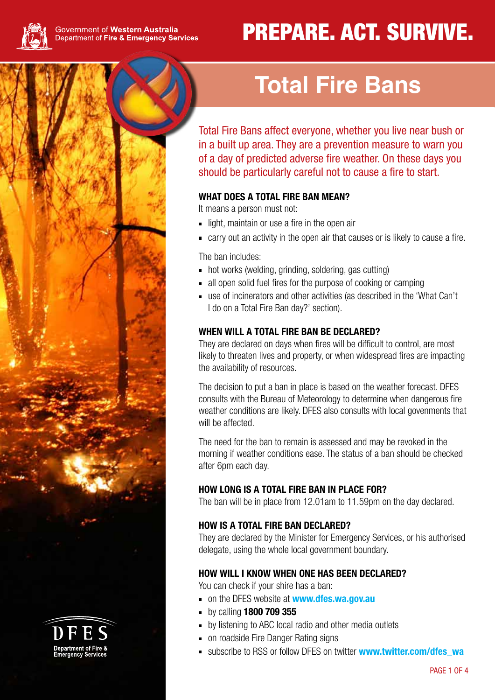

Department of F

# PREPARE. ACT. SURVIVE.

# **Total Fire Bans**

Total Fire Bans affect everyone, whether you live near bush or in a built up area. They are a prevention measure to warn you of a day of predicted adverse fire weather. On these days you should be particularly careful not to cause a fire to start.

### **WHAT DOES A TOTAL FIRE BAN MEAN?**

It means a person must not:

- light, maintain or use a fire in the open air
- carry out an activity in the open air that causes or is likely to cause a fire.

The ban includes:

- hot works (welding, grinding, soldering, gas cutting)
- all open solid fuel fires for the purpose of cooking or camping
- use of incinerators and other activities (as described in the 'What Can't I do on a Total Fire Ban day?' section).

#### **WHEN WILL A TOTAL FIRE BAN BE DECLARED?**

They are declared on days when fires will be difficult to control, are most likely to threaten lives and property, or when widespread fires are impacting the availability of resources.

The decision to put a ban in place is based on the weather forecast. DFES consults with the Bureau of Meteorology to determine when dangerous fire weather conditions are likely. DFES also consults with local govenments that will be affected.

The need for the ban to remain is assessed and may be revoked in the morning if weather conditions ease. The status of a ban should be checked after 6pm each day.

#### **HOW LONG IS A TOTAL FIRE BAN IN PLACE FOR?**

The ban will be in place from 12.01am to 11.59pm on the day declared.

#### **HOW IS A TOTAL FIRE BAN DECLARED?**

They are declared by the Minister for Emergency Services, or his authorised delegate, using the whole local government boundary.

#### **HOW WILL I KNOW WHEN ONE HAS BEEN DECLARED?**

You can check if your shire has a ban:

- on the DFES website at **www.dfes.wa.gov.au**
- by calling **1800 709 355**
- **by listening to ABC local radio and other media outlets**
- on roadside Fire Danger Rating signs
- subscribe to RSS or follow DFES on twitter **www.twitter.com/dfes\_wa**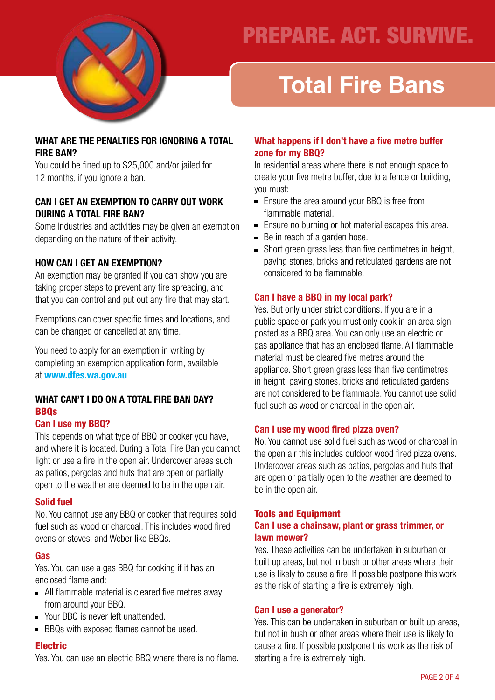

## PREPARE. ACT. SURVIVE.

# **Total Fire Bans**

#### **WHAT ARE THE PENALTIES FOR IGNORING A TOTAL FIRE BAN?**

You could be fined up to \$25,000 and/or jailed for 12 months, if you ignore a ban.

#### **CAN I GET AN EXEMPTION TO CARRY OUT WORK DURING A TOTAL FIRE BAN?**

Some industries and activities may be given an exemption depending on the nature of their activity.

### **HOW CAN I GET AN EXEMPTION?**

An exemption may be granted if you can show you are taking proper steps to prevent any fire spreading, and that you can control and put out any fire that may start.

Exemptions can cover specific times and locations, and can be changed or cancelled at any time.

You need to apply for an exemption in writing by completing an exemption application form, available at **www.dfes.wa.gov.au**

#### **WHAT CAN'T I DO ON A TOTAL FIRE BAN DAY?** BBQs

#### **Can I use my BBQ?**

This depends on what type of BBQ or cooker you have, and where it is located. During a Total Fire Ban you cannot light or use a fire in the open air. Undercover areas such as patios, pergolas and huts that are open or partially open to the weather are deemed to be in the open air.

#### **Solid fuel**

No. You cannot use any BBQ or cooker that requires solid fuel such as wood or charcoal. This includes wood fired ovens or stoves, and Weber like BBQs.

#### **Gas**

Yes. You can use a gas BBQ for cooking if it has an enclosed flame and:

- All flammable material is cleared five metres away from around your BBQ.
- Your BBQ is never left unattended.
- **BBQs with exposed flames cannot be used.**

#### Electric

Yes. You can use an electric BBQ where there is no flame.

#### **What happens if I don't have a five metre buffer zone for my BBQ?**

In residential areas where there is not enough space to create your five metre buffer, due to a fence or building, you must:

- Ensure the area around your BBQ is free from flammable material.
- Ensure no burning or hot material escapes this area.
- Be in reach of a garden hose.
- Short green grass less than five centimetres in height, paving stones, bricks and reticulated gardens are not considered to be flammable.

#### **Can I have a BBQ in my local park?**

Yes. But only under strict conditions. If you are in a public space or park you must only cook in an area sign posted as a BBQ area. You can only use an electric or gas appliance that has an enclosed flame. All flammable material must be cleared five metres around the appliance. Short green grass less than five centimetres in height, paving stones, bricks and reticulated gardens are not considered to be flammable. You cannot use solid fuel such as wood or charcoal in the open air.

#### **Can I use my wood fired pizza oven?**

No. You cannot use solid fuel such as wood or charcoal in the open air this includes outdoor wood fired pizza ovens. Undercover areas such as patios, pergolas and huts that are open or partially open to the weather are deemed to be in the open air.

#### Tools and Equipment **Can I use a chainsaw, plant or grass trimmer, or lawn mower?**

Yes. These activities can be undertaken in suburban or built up areas, but not in bush or other areas where their use is likely to cause a fire. If possible postpone this work as the risk of starting a fire is extremely high.

#### **Can I use a generator?**

Yes. This can be undertaken in suburban or built up areas, but not in bush or other areas where their use is likely to cause a fire. If possible postpone this work as the risk of starting a fire is extremely high.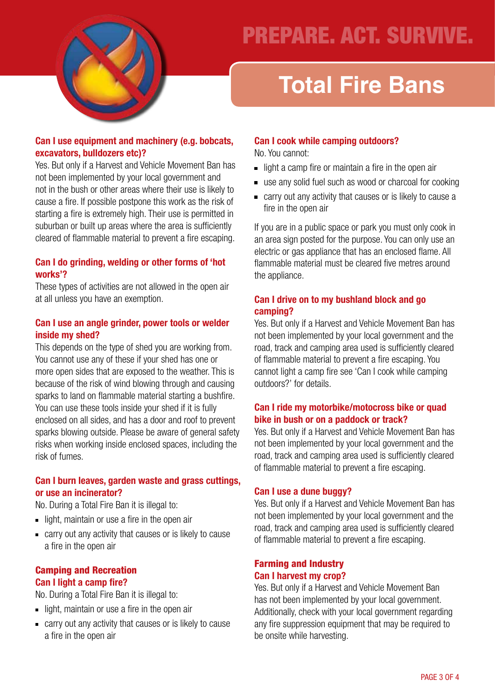

## PREPARE. ACT. SURVIVE.

# **Total Fire Bans**

#### **Can I use equipment and machinery (e.g. bobcats, excavators, bulldozers etc)?**

Yes. But only if a Harvest and Vehicle Movement Ban has not been implemented by your local government and not in the bush or other areas where their use is likely to cause a fire. If possible postpone this work as the risk of starting a fire is extremely high. Their use is permitted in suburban or built up areas where the area is sufficiently cleared of flammable material to prevent a fire escaping.

#### **Can I do grinding, welding or other forms of 'hot works'?**

These types of activities are not allowed in the open air at all unless you have an exemption.

#### **Can I use an angle grinder, power tools or welder inside my shed?**

This depends on the type of shed you are working from. You cannot use any of these if your shed has one or more open sides that are exposed to the weather. This is because of the risk of wind blowing through and causing sparks to land on flammable material starting a bushfire. You can use these tools inside your shed if it is fully enclosed on all sides, and has a door and roof to prevent sparks blowing outside. Please be aware of general safety risks when working inside enclosed spaces, including the risk of fumes.

#### **Can I burn leaves, garden waste and grass cuttings, or use an incinerator?**

No. During a Total Fire Ban it is illegal to:

- $\blacksquare$  light, maintain or use a fire in the open air
- carry out any activity that causes or is likely to cause a fire in the open air

### Camping and Recreation

### **Can I light a camp fire?**

No. During a Total Fire Ban it is illegal to:

- $\blacksquare$  light, maintain or use a fire in the open air
- carry out any activity that causes or is likely to cause a fire in the open air

### **Can I cook while camping outdoors?**

No. You cannot:

- $\blacksquare$  light a camp fire or maintain a fire in the open air
- use any solid fuel such as wood or charcoal for cooking
- carry out any activity that causes or is likely to cause a fire in the open air

If you are in a public space or park you must only cook in an area sign posted for the purpose. You can only use an electric or gas appliance that has an enclosed flame. All flammable material must be cleared five metres around the appliance.

#### **Can I drive on to my bushland block and go camping?**

Yes. But only if a Harvest and Vehicle Movement Ban has not been implemented by your local government and the road, track and camping area used is sufficiently cleared of flammable material to prevent a fire escaping. You cannot light a camp fire see 'Can I cook while camping outdoors?' for details.

#### **Can I ride my motorbike/motocross bike or quad bike in bush or on a paddock or track?**

Yes. But only if a Harvest and Vehicle Movement Ban has not been implemented by your local government and the road, track and camping area used is sufficiently cleared of flammable material to prevent a fire escaping.

#### **Can I use a dune buggy?**

Yes. But only if a Harvest and Vehicle Movement Ban has not been implemented by your local government and the road, track and camping area used is sufficiently cleared of flammable material to prevent a fire escaping.

#### Farming and Industry **Can I harvest my crop?**

Yes. But only if a Harvest and Vehicle Movement Ban has not been implemented by your local government. Additionally, check with your local government regarding any fire suppression equipment that may be required to be onsite while harvesting.